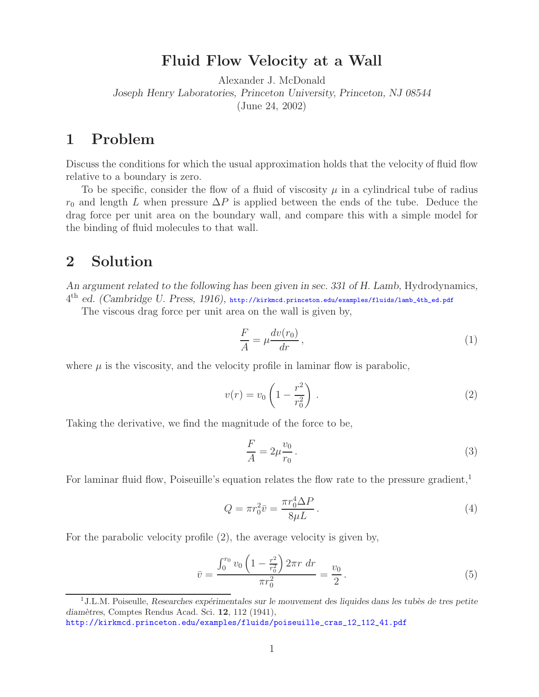## **Fluid Flow Velocity at a Wall**

Alexander J. McDonald *Joseph Henry Laboratories, Princeton University, Princeton, NJ 08544* (June 24, 2002)

## **1 Problem**

Discuss the conditions for which the usual approximation holds that the velocity of fluid flow relative to a boundary is zero.

To be specific, consider the flow of a fluid of viscosity  $\mu$  in a cylindrical tube of radius  $r_0$  and length L when pressure  $\Delta P$  is applied between the ends of the tube. Deduce the drag force per unit area on the boundary wall, and compare this with a simple model for the binding of fluid molecules to that wall.

## **2 Solution**

*An argument related to the following has been given in sec. 331 of H. Lamb,* Hydrodynamics*,* 4th *ed. (Cambridge U. Press, 1916),* http://kirkmcd.princeton.edu/examples/fluids/lamb\_4th\_ed.pdf

The viscous drag force per unit area on the wall is given by,

$$
\frac{F}{A} = \mu \frac{dv(r_0)}{dr},\tag{1}
$$

where  $\mu$  is the viscosity, and the velocity profile in laminar flow is parabolic,

$$
v(r) = v_0 \left( 1 - \frac{r^2}{r_0^2} \right). \tag{2}
$$

Taking the derivative, we find the magnitude of the force to be,

$$
\frac{F}{A} = 2\mu \frac{v_0}{r_0} \,. \tag{3}
$$

For laminar fluid flow, Poiseuille's equation relates the flow rate to the pressure gradient,<sup>1</sup>

$$
Q = \pi r_0^2 \bar{v} = \frac{\pi r_0^4 \Delta P}{8\mu L} \,. \tag{4}
$$

For the parabolic velocity profile (2), the average velocity is given by,

$$
\bar{v} = \frac{\int_0^{r_0} v_0 \left(1 - \frac{r^2}{r_0^2}\right) 2\pi r \, dr}{\pi r_0^2} = \frac{v_0}{2} \,. \tag{5}
$$

<sup>&</sup>lt;sup>1</sup>J.L.M. Poiseulle, *Researches expérimentales sur le mouvement des liquides dans les tubès de tres petite diam`etres*, Comptes Rendus Acad. Sci. **12**, 112 (1941),

http://kirkmcd.princeton.edu/examples/fluids/poiseuille\_cras\_12\_112\_41.pdf